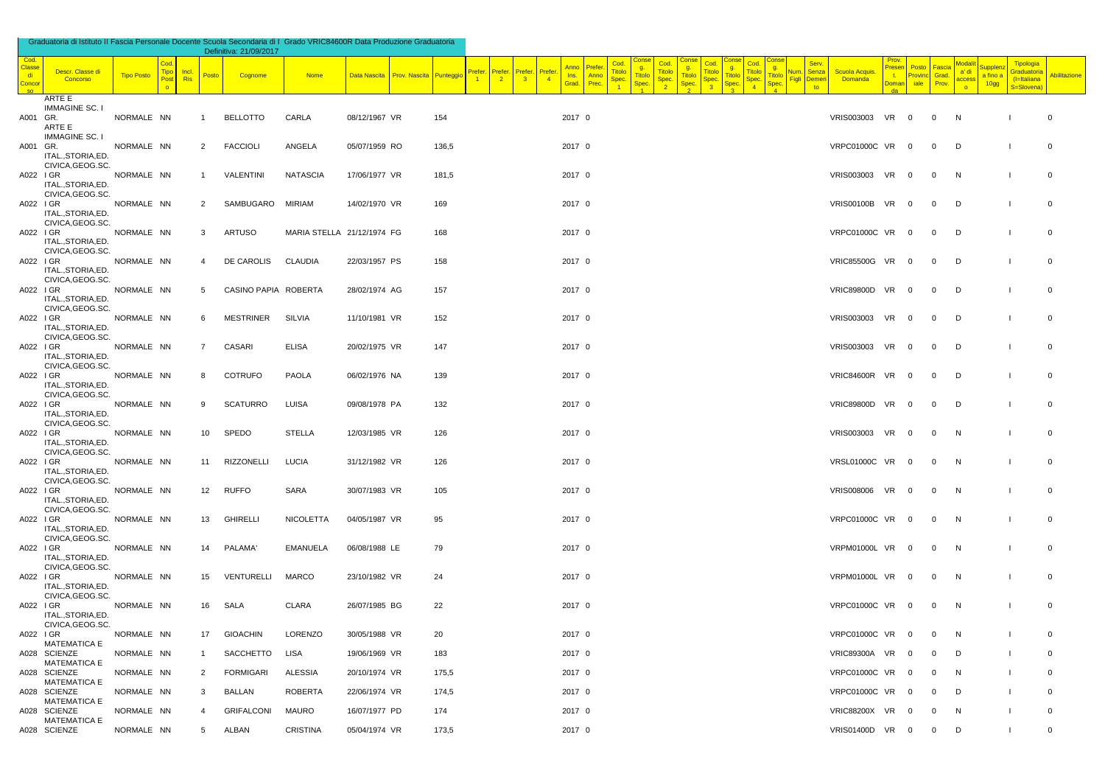| Cod.<br>Classe<br><b>di</b><br>Concor<br>so. | Descr. Classe di<br>Concorso            | Tipo Posto | Cod.<br><b>Tipo</b><br>Post<br>$\bullet$ | Incl.<br>Posto<br>Ris | Cognome              | <b>Nome</b>                |               | Data Nascita Prov. Nascita Punteggio |       | Prefer.<br>Prefer.<br>$\frac{2}{2}$<br>$\overline{1}$ | Prefer.<br>$\overline{\phantom{a}}$ 3 | Prefer<br>$\sqrt{4}$ | Anno<br>Ins. Anno<br>Grad. Prec. | Prefer | Cod.<br>$\frac{g}{\text{Titolo}}$<br>Titolo<br>Spec.<br>Spec. | Cod.<br><b>Titolo</b><br>Spec. | g.<br>Titolo<br><b>Spec</b> | g.<br><b>Titolo</b><br><b>Titolc</b><br>Spec<br>Spec | <b>Titolo</b><br>Spec. | g.<br><b>Titolo</b><br>Spec | Serv.<br>Vum. Senza<br>Figli Demer<br>to | <b>Scuola Acquis.</b><br>Domanda | Prov.<br><b>Presen</b><br>$t$ .<br><b>Doman</b> | Posto<br>Provinc Grad.<br>iale | Fascia<br>Prov. | <b>Modali</b><br>a' di<br>access<br>$\circ$ | a fino a<br>10gg | Tipologia<br>Graduatoria<br>(I=Italiana<br>S=Slovena) | <b>Abilitazione</b> |
|----------------------------------------------|-----------------------------------------|------------|------------------------------------------|-----------------------|----------------------|----------------------------|---------------|--------------------------------------|-------|-------------------------------------------------------|---------------------------------------|----------------------|----------------------------------|--------|---------------------------------------------------------------|--------------------------------|-----------------------------|------------------------------------------------------|------------------------|-----------------------------|------------------------------------------|----------------------------------|-------------------------------------------------|--------------------------------|-----------------|---------------------------------------------|------------------|-------------------------------------------------------|---------------------|
| A001 GR.                                     | ARTE E<br>IMMAGINE SC. I                | NORMALE NN |                                          | -1                    | <b>BELLOTTO</b>      | CARLA                      | 08/12/1967 VR |                                      | 154   |                                                       |                                       |                      | 2017 0                           |        |                                                               |                                |                             |                                                      |                        |                             |                                          | VRIS003003 VR 0                  |                                                 |                                | $\overline{0}$  | N                                           |                  |                                                       | $\overline{0}$      |
| A001 GR.                                     | ARTE E<br><b>IMMAGINE SC. I</b>         | NORMALE NN |                                          | 2                     | <b>FACCIOLI</b>      | ANGELA                     | 05/07/1959 RO |                                      | 136,5 |                                                       |                                       |                      | 2017 0                           |        |                                                               |                                |                             |                                                      |                        |                             |                                          | VRPC01000C VR 0                  |                                                 |                                | $\mathbf 0$     | D                                           |                  |                                                       | $\overline{0}$      |
| A022 IGR                                     | ITAL., STORIA, ED.<br>CIVICA, GEOG.SC.  | NORMALE NN |                                          | 1                     | VALENTINI            | <b>NATASCIA</b>            | 17/06/1977 VR |                                      | 181,5 |                                                       |                                       |                      | 2017 0                           |        |                                                               |                                |                             |                                                      |                        |                             |                                          | VRIS003003 VR 0                  |                                                 |                                | $\overline{0}$  | N                                           |                  |                                                       | $\overline{0}$      |
| A022 IGR                                     | ITAL., STORIA, ED.<br>CIVICA, GEOG.SC.  | NORMALE NN |                                          | 2                     | SAMBUGARO            | MIRIAM                     | 14/02/1970 VR |                                      | 169   |                                                       |                                       |                      | 2017 0                           |        |                                                               |                                |                             |                                                      |                        |                             |                                          | VRIS00100B VR 0                  |                                                 |                                | $\mathbf 0$     | D                                           |                  |                                                       | $\overline{0}$      |
| A022 IGR                                     | ITALSTORIA.ED.<br>CIVICA, GEOG.SC.      | NORMALE NN |                                          | 3                     | <b>ARTUSO</b>        | MARIA STELLA 21/12/1974 FG |               |                                      | 168   |                                                       |                                       |                      | 2017 0                           |        |                                                               |                                |                             |                                                      |                        |                             |                                          | VRPC01000C VR 0                  |                                                 |                                | $\mathbf 0$     | D                                           |                  |                                                       | $\overline{0}$      |
|                                              | ITAL., STORIA, ED.<br>CIVICA, GEOG.SC.  |            |                                          |                       |                      |                            |               |                                      |       |                                                       |                                       |                      |                                  |        |                                                               |                                |                             |                                                      |                        |                             |                                          |                                  |                                                 |                                |                 |                                             |                  |                                                       |                     |
| A022 IGR                                     | ITAL., STORIA, ED.<br>CIVICA, GEOG.SC.  | NORMALE NN |                                          | 4                     | DE CAROLIS           | CLAUDIA                    | 22/03/1957 PS |                                      | 158   |                                                       |                                       |                      | 2017 0                           |        |                                                               |                                |                             |                                                      |                        |                             |                                          | VRIC85500G VR 0                  |                                                 |                                | $\mathbf 0$     | D                                           |                  |                                                       | $\overline{0}$      |
| A022 IGR                                     | ITAL., STORIA, ED.<br>CIVICA, GEOG.SC.  | NORMALE NN |                                          | 5                     | CASINO PAPIA ROBERTA |                            | 28/02/1974 AG |                                      | 157   |                                                       |                                       |                      | 2017 0                           |        |                                                               |                                |                             |                                                      |                        |                             |                                          | VRIC89800D VR 0                  |                                                 |                                | $\mathbf 0$     | D                                           |                  |                                                       | $\overline{0}$      |
| A022 IGR                                     | ITAL., STORIA, ED.<br>CIVICA, GEOG.SC.  | NORMALE NN |                                          | 6.                    | MESTRINER            | SILVIA                     | 11/10/1981 VR |                                      | 152   |                                                       |                                       |                      | 2017 0                           |        |                                                               |                                |                             |                                                      |                        |                             |                                          | VRIS003003 VR 0                  |                                                 |                                | $\overline{0}$  | D                                           |                  |                                                       | $\overline{0}$      |
| A022 IGR                                     | ITAL., STORIA, ED.<br>CIVICA, GEOG.SC.  | NORMALE NN |                                          | $\overline{7}$        | CASARI               | ELISA                      | 20/02/1975 VR |                                      | 147   |                                                       |                                       |                      | 2017 0                           |        |                                                               |                                |                             |                                                      |                        |                             |                                          | VRIS003003 VR 0                  |                                                 |                                | $\mathbf 0$     | D                                           |                  |                                                       | $\overline{0}$      |
| A022 I GR                                    | ITAL., STORIA, ED.<br>CIVICA, GEOG.SC.  | NORMALE NN |                                          | 8                     | <b>COTRUFO</b>       | PAOLA                      | 06/02/1976 NA |                                      | 139   |                                                       |                                       |                      | 2017 0                           |        |                                                               |                                |                             |                                                      |                        |                             |                                          | VRIC84600R VR 0                  |                                                 |                                | $\mathbf 0$     | $\Box$                                      |                  |                                                       | $\overline{0}$      |
| A022 IGR                                     | ITAL., STORIA, ED.<br>CIVICA, GEOG.SC.  | NORMALE NN |                                          | 9                     | <b>SCATURRO</b>      | <b>LUISA</b>               | 09/08/1978 PA |                                      | 132   |                                                       |                                       |                      | 2017 0                           |        |                                                               |                                |                             |                                                      |                        |                             |                                          | VRIC89800D VR 0                  |                                                 |                                | $\mathbf 0$     | $\Box$                                      |                  |                                                       | $\overline{0}$      |
| A022 IGR                                     | ITAL., STORIA, ED.<br>CIVICA, GEOG.SC.  | NORMALE NN |                                          | 10                    | SPEDO                | STELLA                     | 12/03/1985 VR |                                      | 126   |                                                       |                                       |                      | 2017 0                           |        |                                                               |                                |                             |                                                      |                        |                             |                                          | VRIS003003 VR 0                  |                                                 |                                | $\mathbf 0$     | N                                           |                  |                                                       | $\overline{0}$      |
| A022 IGR                                     | ITAL., STORIA, ED.<br>CIVICA, GEOG.SC.  | NORMALE NN |                                          | 11                    | RIZZONELLI           | <b>LUCIA</b>               | 31/12/1982 VR |                                      | 126   |                                                       |                                       |                      | 2017 0                           |        |                                                               |                                |                             |                                                      |                        |                             |                                          | VRSL01000C VR 0                  |                                                 |                                | $\mathbf 0$     | N                                           |                  |                                                       | $\overline{0}$      |
| A022 IGR                                     | ITAL., STORIA, ED.                      | NORMALE NN |                                          | 12                    | <b>RUFFO</b>         | SARA                       | 30/07/1983 VR |                                      | 105   |                                                       |                                       |                      | 2017 0                           |        |                                                               |                                |                             |                                                      |                        |                             |                                          | VRIS008006 VR 0                  |                                                 |                                | $\mathbf 0$     | N                                           |                  |                                                       | $\overline{0}$      |
| A022 IGR                                     | CIVICA, GEOG.SC.<br>ITAL., STORIA, ED.  | NORMALE NN |                                          | 13                    | <b>GHIRELLI</b>      | NICOLETTA                  | 04/05/1987 VR |                                      | 95    |                                                       |                                       |                      | 2017 0                           |        |                                                               |                                |                             |                                                      |                        |                             |                                          | VRPC01000C VR 0                  |                                                 |                                | $\mathbf{0}$    | N                                           |                  |                                                       | $\overline{0}$      |
| A022 IGR                                     | CIVICA, GEOG.SC.<br>ITAL., STORIA, ED.  | NORMALE NN |                                          | 14                    | PALAMA'              | <b>EMANUELA</b>            | 06/08/1988 LE |                                      | 79    |                                                       |                                       |                      | 2017 0                           |        |                                                               |                                |                             |                                                      |                        |                             |                                          | VRPM01000L VR 0                  |                                                 |                                | $\mathbf 0$     | N                                           |                  |                                                       | $\overline{0}$      |
| A022 IGR                                     | CIVICA, GEOG.SC.<br>ITAL., STORIA, ED.  | NORMALE NN |                                          | 15                    | VENTURELLI           | <b>MARCO</b>               | 23/10/1982 VR |                                      | 24    |                                                       |                                       |                      | 2017 0                           |        |                                                               |                                |                             |                                                      |                        |                             |                                          | VRPM01000L VR 0                  |                                                 |                                | $\overline{0}$  | N                                           |                  |                                                       | $\overline{0}$      |
| A022 IGR                                     | CIVICA, GEOG.SC.<br>ITAL., STORIA, ED.  | NORMALE NN |                                          | 16                    | SALA                 | CLARA                      | 26/07/1985 BG |                                      | 22    |                                                       |                                       |                      | 2017 0                           |        |                                                               |                                |                             |                                                      |                        |                             |                                          | <b>VRPC01000C VR</b>             |                                                 | $\overline{0}$                 | $\mathbf 0$     | N                                           |                  |                                                       | $\overline{0}$      |
| A022 I GR                                    | CIVICA, GEOG.SC.<br><b>MATEMATICA E</b> | NORMALE NN |                                          |                       | 17 GIOACHIN          | LORENZO                    | 30/05/1988 VR |                                      | 20    |                                                       |                                       |                      | 2017 0                           |        |                                                               |                                |                             |                                                      |                        |                             |                                          | VRPC01000C VR 0                  |                                                 |                                | $\mathbf 0$     | N                                           |                  |                                                       | $\overline{0}$      |
|                                              | A028 SCIENZE<br><b>MATEMATICA E</b>     | NORMALE NN |                                          | -1                    | SACCHETTO            | <b>LISA</b>                | 19/06/1969 VR |                                      | 183   |                                                       |                                       |                      | 2017 0                           |        |                                                               |                                |                             |                                                      |                        |                             |                                          | VRIC89300A VR 0                  |                                                 |                                | $\mathbf 0$     | D                                           |                  |                                                       | $\Omega$            |
|                                              | A028 SCIENZE<br><b>MATEMATICA E</b>     | NORMALE NN |                                          | $\overline{2}$        | <b>FORMIGARI</b>     | ALESSIA                    | 20/10/1974 VR |                                      | 175,5 |                                                       |                                       |                      | 2017 0                           |        |                                                               |                                |                             |                                                      |                        |                             |                                          | VRPC01000C VR 0                  |                                                 |                                | $\mathbf 0$     | N                                           |                  |                                                       | $\Omega$            |
|                                              | A028 SCIENZE<br><b>MATEMATICA E</b>     | NORMALE NN |                                          | 3                     | BALLAN               | <b>ROBERTA</b>             | 22/06/1974 VR |                                      | 174,5 |                                                       |                                       |                      | 2017 0                           |        |                                                               |                                |                             |                                                      |                        |                             |                                          | VRPC01000C VR 0                  |                                                 |                                | $\mathbf 0$     | D                                           |                  |                                                       | $\overline{0}$      |
|                                              | A028 SCIENZE<br><b>MATEMATICA E</b>     | NORMALE NN |                                          | 4                     | GRIFALCONI           | MAURO                      | 16/07/1977 PD |                                      | 174   |                                                       |                                       |                      | 2017 0                           |        |                                                               |                                |                             |                                                      |                        |                             |                                          | VRIC88200X VR 0                  |                                                 |                                | $\mathbf 0$     | N                                           |                  |                                                       | $\Omega$            |
|                                              | A028 SCIENZE                            | NORMALE NN |                                          | 5                     | ALBAN                | CRISTINA                   | 05/04/1974 VR |                                      | 173,5 |                                                       |                                       |                      | 2017 0                           |        |                                                               |                                |                             |                                                      |                        |                             |                                          | VRIS01400D VR 0                  |                                                 |                                | $\overline{0}$  | D                                           |                  |                                                       | $\overline{0}$      |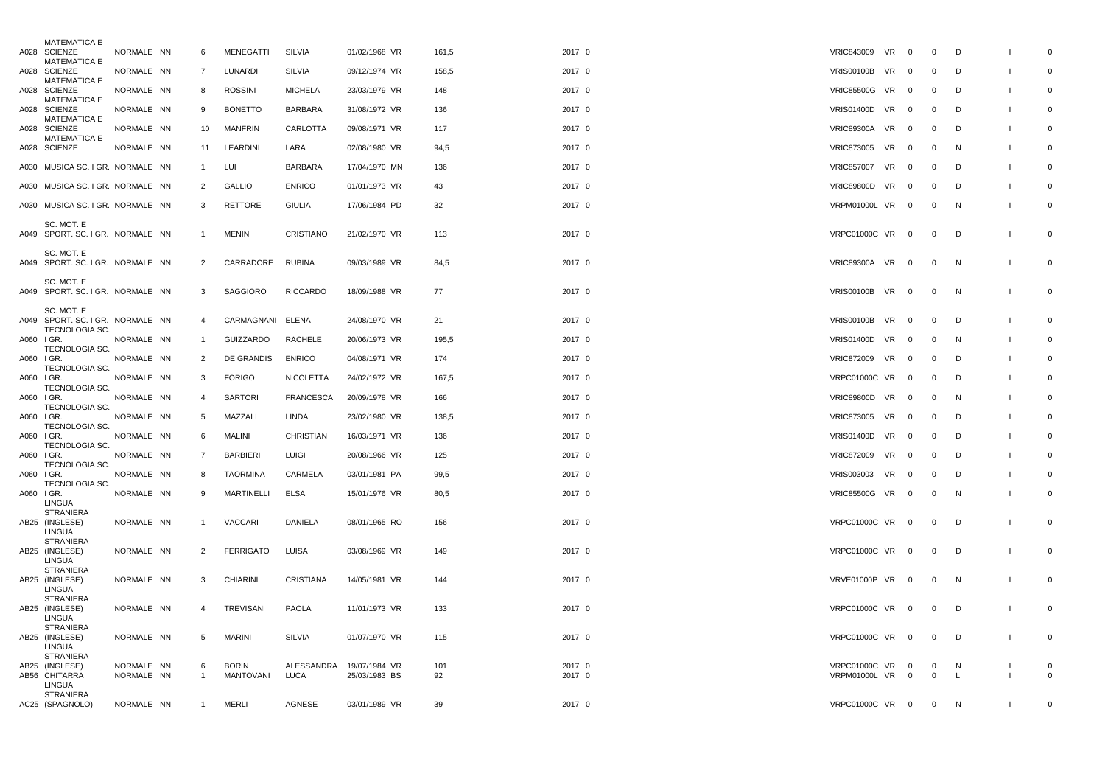|            | <b>MATEMATICA E</b>                            |            |                |                   |                 |               |       |        |                                |                |                |              |                |
|------------|------------------------------------------------|------------|----------------|-------------------|-----------------|---------------|-------|--------|--------------------------------|----------------|----------------|--------------|----------------|
|            | A028 SCIENZE<br><b>MATEMATICA E</b>            | NORMALE NN | 6              | <b>MENEGATTI</b>  | SILVIA          | 01/02/1968 VR | 161,5 | 2017 0 | <b>VRIC843009</b><br><b>VR</b> | $\mathbf{0}$   | $\mathbf 0$    | D            | $\overline{0}$ |
|            | A028 SCIENZE                                   | NORMALE NN | $\overline{7}$ | LUNARDI           | SILVIA          | 09/12/1974 VR | 158,5 | 2017 0 | <b>VRIS00100B</b><br>VR        | $\Omega$       | $\Omega$       | D            | $\overline{0}$ |
|            | <b>MATEMATICA E</b><br>A028 SCIENZE            | NORMALE NN | 8              | <b>ROSSINI</b>    | <b>MICHELA</b>  | 23/03/1979 VR | 148   | 2017 0 | <b>VRIC85500G VR</b>           | $\overline{0}$ | $\overline{0}$ | D            | $\Omega$       |
|            | <b>MATEMATICA E</b><br>A028 SCIENZE            | NORMALE NN | 9              | <b>BONETTO</b>    | <b>BARBARA</b>  | 31/08/1972 VR | 136   | 2017 0 | <b>VRIS01400D VR</b>           | $\mathbf 0$    | $\overline{0}$ | D            | $\Omega$       |
|            | <b>MATEMATICA E</b><br>A028 SCIENZE            | NORMALE NN | 10             | <b>MANFRIN</b>    | CARLOTTA        | 09/08/1971 VR | 117   | 2017 0 | <b>VRIC89300A VR</b>           | $\mathbf 0$    | $\overline{0}$ | D            | $\overline{0}$ |
|            | <b>MATEMATICA E</b><br>A028 SCIENZE            | NORMALE NN | 11             | <b>LEARDINI</b>   | LARA            | 02/08/1980 VR | 94,5  | 2017 0 | VR<br><b>VRIC873005</b>        | $\Omega$       | $\overline{0}$ | N            | $\Omega$       |
|            | A030 MUSICA SC. I GR. NORMALE NN               |            | $\mathbf{1}$   | LUI               | <b>BARBARA</b>  | 17/04/1970 MN | 136   | 2017 0 | <b>VRIC857007</b><br><b>VR</b> | $\mathbf 0$    | $\overline{0}$ | D            | $\Omega$       |
|            | A030 MUSICA SC. I GR. NORMALE NN               |            | 2              | <b>GALLIO</b>     | <b>ENRICO</b>   | 01/01/1973 VR | 43    | 2017 0 | <b>VRIC89800D</b><br>VR        | $\mathbf 0$    | 0              | D            | $\Omega$       |
|            | A030 MUSICA SC. I GR. NORMALE NN               |            | 3              | <b>RETTORE</b>    | <b>GIULIA</b>   | 17/06/1984 PD | 32    | 2017 0 | VRPM01000L VR 0                |                | $\overline{0}$ | N            | $\mathsf{O}$   |
|            | SC. MOT. E                                     |            |                |                   |                 |               |       |        |                                |                |                |              |                |
|            | A049 SPORT. SC. I GR. NORMALE NN               |            | $\mathbf{1}$   | MENIN             | CRISTIANO       | 21/02/1970 VR | 113   | 2017 0 | <b>VRPC01000C VR</b>           | $\overline{0}$ | $\overline{0}$ | D            | $\overline{0}$ |
|            | SC. MOT. E<br>A049 SPORT. SC. I GR. NORMALE NN |            | $\overline{2}$ | CARRADORE         | <b>RUBINA</b>   | 09/03/1989 VR | 84,5  | 2017 0 | <b>VRIC89300A VR</b>           | $\overline{0}$ | $\overline{0}$ | N            | $\overline{0}$ |
|            | SC. MOT. E<br>A049 SPORT. SC. I GR. NORMALE NN |            | 3              | <b>SAGGIORO</b>   | <b>RICCARDO</b> | 18/09/1988 VR | 77    | 2017 0 | <b>VRIS00100B VR</b>           | $\mathbf 0$    | $\overline{0}$ | $\mathsf{N}$ | $\overline{0}$ |
|            | SC. MOT. E<br>A049 SPORT. SC. I GR. NORMALE NN |            | 4              | CARMAGNANI ELENA  |                 | 24/08/1970 VR | 21    | 2017 0 | <b>VRIS00100B VR</b>           | $\mathbf 0$    | 0              | D            | $\overline{0}$ |
|            | TECNOLOGIA SC.<br>A060 IGR.                    | NORMALE NN | -1             | <b>GUIZZARDO</b>  | <b>RACHELE</b>  | 20/06/1973 VR | 195,5 | 2017 0 | <b>VRIS01400D VR</b>           | $\Omega$       | $\overline{0}$ | N            | $\Omega$       |
| A060 I GR. | TECNOLOGIA SC.                                 | NORMALE NN | 2              | DE GRANDIS        | <b>ENRICO</b>   | 04/08/1971 VR | 174   | 2017 0 | VRIC872009 VR                  | $\mathbf 0$    | $\mathbf 0$    | D            | $\overline{0}$ |
|            | TECNOLOGIA SC.<br>A060 I GR.                   | NORMALE NN | 3              | <b>FORIGO</b>     | NICOLETTA       | 24/02/1972 VR | 167,5 | 2017 0 | <b>VRPC01000C VR</b>           | $\mathbf 0$    | $\overline{0}$ | D            | $\Omega$       |
| A060 I GR. | TECNOLOGIA SC.                                 | NORMALE NN | $\overline{4}$ | <b>SARTORI</b>    | FRANCESCA       | 20/09/1978 VR | 166   | 2017 0 | <b>VRIC89800D</b><br><b>VR</b> | $\overline{0}$ | $\overline{0}$ | N            | $\Omega$       |
|            | TECNOLOGIA SC.<br>A060 I GR.                   | NORMALE NN | 5              | MAZZALI           | <b>LINDA</b>    | 23/02/1980 VR | 138,5 | 2017 0 | <b>VR</b><br><b>VRIC873005</b> | $\mathbf 0$    | $\overline{0}$ | D            | $\Omega$       |
| A060 I GR. | <b>TECNOLOGIA SC.</b>                          | NORMALE NN | 6              | <b>MALINI</b>     | CHRISTIAN       | 16/03/1971 VR | 136   | 2017 0 | <b>VRIS01400D</b><br><b>VR</b> | $\mathbf{0}$   | $\overline{0}$ | D            | $\Omega$       |
|            | TECNOLOGIA SC.<br>A060 I GR.                   | NORMALE NN | $\overline{7}$ | <b>BARBIERI</b>   | LUIGI           | 20/08/1966 VR | 125   | 2017 0 | <b>VRIC872009</b><br>VR        | $\Omega$       | $\overline{0}$ | D            | $\overline{0}$ |
| A060 I GR. | TECNOLOGIA SC.                                 | NORMALE NN | 8              | <b>TAORMINA</b>   | CARMELA         | 03/01/1981 PA | 99,5  | 2017 0 | VRIS003003 VR                  | $\overline{0}$ | $\overline{0}$ | D            | $\mathsf 0$    |
| A060 I GR. | TECNOLOGIA SC.                                 | NORMALE NN | 9              | <b>MARTINELLI</b> | ELSA            | 15/01/1976 VR | 80,5  | 2017 0 | <b>VRIC85500G VR</b>           | $\overline{0}$ | $\overline{0}$ | N            | $\Omega$       |
|            | LINGUA<br><b>STRANIERA</b>                     |            |                |                   |                 |               |       |        |                                |                |                |              |                |
|            | AB25 (INGLESE)<br>LINGUA                       | NORMALE NN | $\mathbf{1}$   | <b>VACCARI</b>    | DANIELA         | 08/01/1965 RO | 156   | 2017 0 | <b>VRPC01000C VR</b>           | $\mathbf{0}$   | $\mathbf 0$    | D            | $\Omega$       |
|            | <b>STRANIERA</b><br>AB25 (INGLESE)             | NORMALE NN | 2              | <b>FERRIGATO</b>  | LUISA           | 03/08/1969 VR | 149   | 2017 0 | <b>VRPC01000C VR</b>           | $\mathbf{0}$   | $\mathbf 0$    | D            | $\Omega$       |
|            | LINGUA<br><b>STRANIERA</b>                     |            |                |                   |                 |               |       |        |                                |                |                |              |                |
|            | AB25 (INGLESE)<br>LINGUA<br><b>STRANIERA</b>   | NORMALE NN | 3              | <b>CHIARINI</b>   | CRISTIANA       | 14/05/1981 VR | 144   | 2017 0 | VRVE01000P VR                  | $\mathbf 0$    | $\overline{0}$ | N            | $\overline{0}$ |
|            | AB25 (INGLESE)<br>LINGUA                       | NORMALE NN | $\overline{4}$ | TREVISANI         | <b>PAOLA</b>    | 11/01/1973 VR | 133   | 2017 0 | <b>VRPC01000C VR</b>           | $\overline{0}$ | $\mathbf 0$    | D            | $\Omega$       |
|            | <b>STRANIERA</b><br>AB25 (INGLESE)<br>LINGUA   | NORMALE NN | 5              | <b>MARINI</b>     | SILVIA          | 01/07/1970 VR | 115   | 2017 0 | <b>VRPC01000C VR</b>           | $\mathbf 0$    | $\mathbf 0$    | D            | $\overline{0}$ |
|            | <b>STRANIERA</b><br>AB25 (INGLESE)             | NORMALE NN | 6              | <b>BORIN</b>      | ALESSANDRA      | 19/07/1984 VR | 101   | 2017 0 | <b>VRPC01000C VR</b>           | $\Omega$       | $\overline{0}$ | N            | $\overline{0}$ |
|            | AB56 CHITARRA<br>LINGUA                        | NORMALE NN | $\mathbf{1}$   | MANTOVANI         | LUCA            | 25/03/1983 BS | 92    | 2017 0 | VRPM01000L VR                  | $\overline{0}$ | $\mathbf 0$    | L.           | $\Omega$       |
|            | <b>STRANIERA</b><br>AC25 (SPAGNOLO)            | NORMALE NN | -1             | <b>MERLI</b>      | <b>AGNESE</b>   | 03/01/1989 VR | 39    | 2017 0 | VRPC01000C VR 0                |                | $\overline{0}$ | $\mathsf{N}$ | $\overline{0}$ |